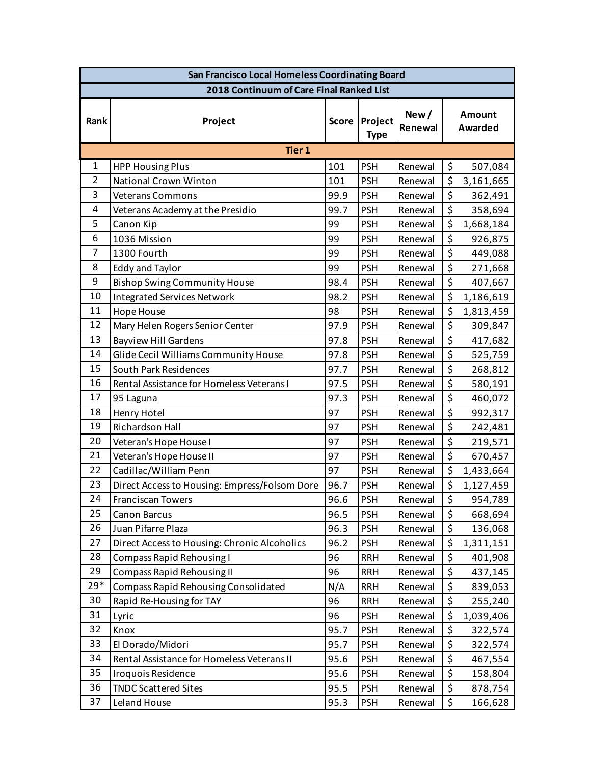| San Francisco Local Homeless Coordinating Board |                                               |              |                        |                 |                                 |                          |  |  |  |  |  |  |
|-------------------------------------------------|-----------------------------------------------|--------------|------------------------|-----------------|---------------------------------|--------------------------|--|--|--|--|--|--|
| 2018 Continuum of Care Final Ranked List        |                                               |              |                        |                 |                                 |                          |  |  |  |  |  |  |
| Rank                                            | Project                                       | <b>Score</b> | Project<br><b>Type</b> | New/<br>Renewal |                                 | <b>Amount</b><br>Awarded |  |  |  |  |  |  |
| Tier 1                                          |                                               |              |                        |                 |                                 |                          |  |  |  |  |  |  |
| 1                                               | <b>HPP Housing Plus</b>                       | 101          | <b>PSH</b>             | Renewal         | $\zeta$                         | 507,084                  |  |  |  |  |  |  |
| $\overline{2}$                                  | <b>National Crown Winton</b>                  | 101          | <b>PSH</b>             | Renewal         | \$                              | 3,161,665                |  |  |  |  |  |  |
| 3                                               | <b>Veterans Commons</b>                       | 99.9         | <b>PSH</b>             | Renewal         | \$                              | 362,491                  |  |  |  |  |  |  |
| 4                                               | Veterans Academy at the Presidio              | 99.7         | <b>PSH</b>             | Renewal         | \$                              | 358,694                  |  |  |  |  |  |  |
| 5                                               | Canon Kip                                     | 99           | <b>PSH</b>             | Renewal         | \$                              | 1,668,184                |  |  |  |  |  |  |
| 6                                               | 1036 Mission                                  | 99           | <b>PSH</b>             | Renewal         | \$                              | 926,875                  |  |  |  |  |  |  |
| 7                                               | 1300 Fourth                                   | 99           | <b>PSH</b>             | Renewal         | \$                              | 449,088                  |  |  |  |  |  |  |
| 8                                               | <b>Eddy and Taylor</b>                        | 99           | <b>PSH</b>             | Renewal         | \$                              | 271,668                  |  |  |  |  |  |  |
| 9                                               | <b>Bishop Swing Community House</b>           | 98.4         | <b>PSH</b>             | Renewal         | \$                              | 407,667                  |  |  |  |  |  |  |
| 10                                              | <b>Integrated Services Network</b>            | 98.2         | <b>PSH</b>             | Renewal         | \$                              | 1,186,619                |  |  |  |  |  |  |
| 11                                              | Hope House                                    | 98           | <b>PSH</b>             | Renewal         | \$                              | 1,813,459                |  |  |  |  |  |  |
| 12                                              | Mary Helen Rogers Senior Center               | 97.9         | <b>PSH</b>             | Renewal         | \$                              | 309,847                  |  |  |  |  |  |  |
| 13                                              | <b>Bayview Hill Gardens</b>                   | 97.8         | <b>PSH</b>             | Renewal         | \$                              | 417,682                  |  |  |  |  |  |  |
| 14                                              | Glide Cecil Williams Community House          | 97.8         | <b>PSH</b>             | Renewal         | \$                              | 525,759                  |  |  |  |  |  |  |
| 15                                              | South Park Residences                         | 97.7         | <b>PSH</b>             | Renewal         | \$                              | 268,812                  |  |  |  |  |  |  |
| 16                                              | Rental Assistance for Homeless Veterans I     | 97.5         | <b>PSH</b>             | Renewal         | \$                              | 580,191                  |  |  |  |  |  |  |
| 17                                              | 95 Laguna                                     | 97.3         | <b>PSH</b>             | Renewal         | \$                              | 460,072                  |  |  |  |  |  |  |
| 18                                              | Henry Hotel                                   | 97           | <b>PSH</b>             | Renewal         | \$                              | 992,317                  |  |  |  |  |  |  |
| 19                                              | Richardson Hall                               | 97           | <b>PSH</b>             | Renewal         | $\overline{\boldsymbol{\zeta}}$ | 242,481                  |  |  |  |  |  |  |
| 20                                              | Veteran's Hope House I                        | 97           | <b>PSH</b>             | Renewal         | \$                              | 219,571                  |  |  |  |  |  |  |
| 21                                              | Veteran's Hope House II                       | 97           | <b>PSH</b>             | Renewal         | $\zeta$                         | 670,457                  |  |  |  |  |  |  |
| 22                                              | Cadillac/William Penn                         | 97           | <b>PSH</b>             | Renewal         | \$                              | 1,433,664                |  |  |  |  |  |  |
| 23                                              | Direct Access to Housing: Empress/Folsom Dore | 96.7         | <b>PSH</b>             | Renewal         | \$                              | 1,127,459                |  |  |  |  |  |  |
| 24                                              | Franciscan Towers                             | 96.6         | <b>PSH</b>             | Renewal         | \$                              | 954,789                  |  |  |  |  |  |  |
| 25                                              | <b>Canon Barcus</b>                           | 96.5         | <b>PSH</b>             | Renewal         | \$                              | 668,694                  |  |  |  |  |  |  |
| 26                                              | Juan Pifarre Plaza                            | 96.3         | <b>PSH</b>             | Renewal         | \$                              | 136,068                  |  |  |  |  |  |  |
| 27                                              | Direct Access to Housing: Chronic Alcoholics  | 96.2         | <b>PSH</b>             | Renewal         | \$                              | 1,311,151                |  |  |  |  |  |  |
| 28                                              | Compass Rapid Rehousing I                     | 96           | <b>RRH</b>             | Renewal         | \$                              | 401,908                  |  |  |  |  |  |  |
| 29                                              | <b>Compass Rapid Rehousing II</b>             | 96           | <b>RRH</b>             | Renewal         | \$                              | 437,145                  |  |  |  |  |  |  |
| $29*$                                           | <b>Compass Rapid Rehousing Consolidated</b>   | N/A          | <b>RRH</b>             | Renewal         | \$                              | 839,053                  |  |  |  |  |  |  |
| 30                                              | Rapid Re-Housing for TAY                      | 96           | <b>RRH</b>             | Renewal         | \$                              | 255,240                  |  |  |  |  |  |  |
| 31                                              | Lyric                                         | 96           | <b>PSH</b>             | Renewal         | \$                              | 1,039,406                |  |  |  |  |  |  |
| 32                                              | Knox                                          | 95.7         | <b>PSH</b>             | Renewal         | \$                              | 322,574                  |  |  |  |  |  |  |
| 33                                              | El Dorado/Midori                              | 95.7         | <b>PSH</b>             | Renewal         | \$                              | 322,574                  |  |  |  |  |  |  |
| 34                                              | Rental Assistance for Homeless Veterans II    | 95.6         | <b>PSH</b>             | Renewal         | \$                              | 467,554                  |  |  |  |  |  |  |
| 35                                              | Iroquois Residence                            | 95.6         | <b>PSH</b>             | Renewal         | \$                              | 158,804                  |  |  |  |  |  |  |
| 36                                              | <b>TNDC Scattered Sites</b>                   | 95.5         | <b>PSH</b>             | Renewal         | \$                              | 878,754                  |  |  |  |  |  |  |
| 37                                              | Leland House                                  | 95.3         | <b>PSH</b>             | Renewal         | \$                              | 166,628                  |  |  |  |  |  |  |